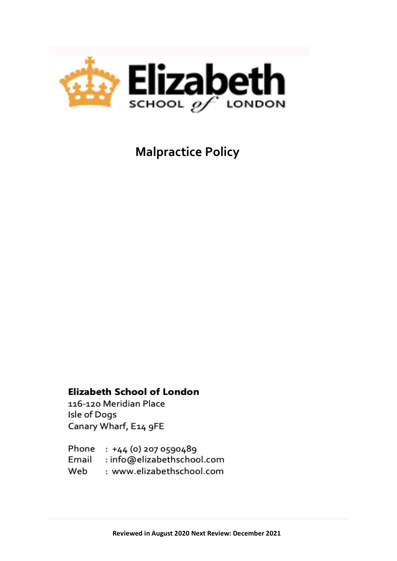

 **Malpractice Policy**

## **Elizabeth School of London**

116-120 Meridian Place Isle of Dogs Canary Wharf, E14 9FE

Phone : +44 (0) 207 0590489 Email : info@elizabethschool.com Web : www.elizabethschool.com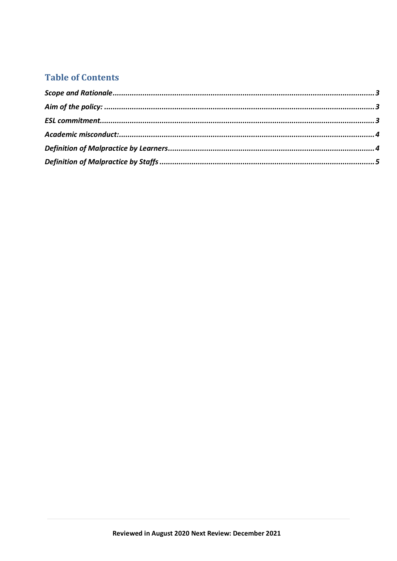# **Table of Contents**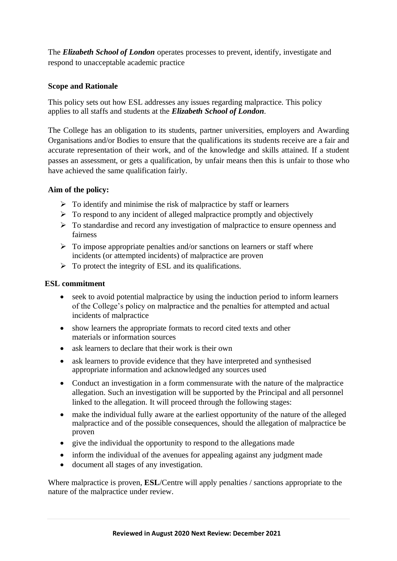The *Elizabeth School of London* operates processes to prevent, identify, investigate and respond to unacceptable academic practice

#### <span id="page-2-0"></span>**Scope and Rationale**

This policy sets out how ESL addresses any issues regarding malpractice. This policy applies to all staffs and students at the *Elizabeth School of London*.

The College has an obligation to its students, partner universities, employers and Awarding Organisations and/or Bodies to ensure that the qualifications its students receive are a fair and accurate representation of their work, and of the knowledge and skills attained. If a student passes an assessment, or gets a qualification, by unfair means then this is unfair to those who have achieved the same qualification fairly.

#### <span id="page-2-1"></span>**Aim of the policy:**

- $\triangleright$  To identify and minimise the risk of malpractice by staff or learners
- $\triangleright$  To respond to any incident of alleged malpractice promptly and objectively
- ➢ To standardise and record any investigation of malpractice to ensure openness and fairness
- $\triangleright$  To impose appropriate penalties and/or sanctions on learners or staff where incidents (or attempted incidents) of malpractice are proven
- $\triangleright$  To protect the integrity of ESL and its qualifications.

#### <span id="page-2-2"></span>**ESL commitment**

- seek to avoid potential malpractice by using the induction period to inform learners of the College's policy on malpractice and the penalties for attempted and actual incidents of malpractice
- show learners the appropriate formats to record cited texts and other materials or information sources
- ask learners to declare that their work is their own
- ask learners to provide evidence that they have interpreted and synthesised appropriate information and acknowledged any sources used
- Conduct an investigation in a form commensurate with the nature of the malpractice allegation. Such an investigation will be supported by the Principal and all personnel linked to the allegation. It will proceed through the following stages:
- make the individual fully aware at the earliest opportunity of the nature of the alleged malpractice and of the possible consequences, should the allegation of malpractice be proven
- give the individual the opportunity to respond to the allegations made
- inform the individual of the avenues for appealing against any judgment made
- document all stages of any investigation.

Where malpractice is proven, **ESL**/Centre will apply penalties / sanctions appropriate to the nature of the malpractice under review.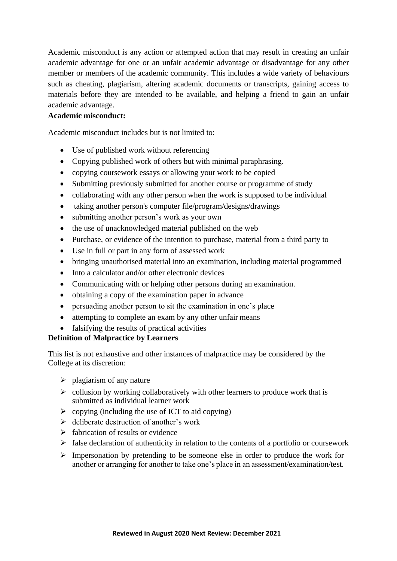Academic misconduct is any action or attempted action that may result in creating an unfair academic advantage for one or an unfair academic advantage or disadvantage for any other member or members of the academic community. This includes a wide variety of behaviours such as cheating, plagiarism, altering academic documents or transcripts, gaining access to materials before they are intended to be available, and helping a friend to gain an unfair academic advantage.

#### <span id="page-3-0"></span>**Academic misconduct:**

Academic misconduct includes but is not limited to:

- Use of published work without referencing
- Copying published work of others but with minimal paraphrasing.
- copying coursework essays or allowing your work to be copied
- Submitting previously submitted for another course or programme of study
- collaborating with any other person when the work is supposed to be individual
- taking another person's computer file/program/designs/drawings
- submitting another person's work as your own
- the use of unacknowledged material published on the web
- Purchase, or evidence of the intention to purchase, material from a third party to
- Use in full or part in any form of assessed work
- bringing unauthorised material into an examination, including material programmed
- Into a calculator and/or other electronic devices
- Communicating with or helping other persons during an examination.
- obtaining a copy of the examination paper in advance
- persuading another person to sit the examination in one's place
- attempting to complete an exam by any other unfair means
- falsifying the results of practical activities

### <span id="page-3-1"></span>**Definition of Malpractice by Learners**

This list is not exhaustive and other instances of malpractice may be considered by the College at its discretion:

- $\triangleright$  plagiarism of any nature
- $\triangleright$  collusion by working collaboratively with other learners to produce work that is submitted as individual learner work
- $\triangleright$  copying (including the use of ICT to aid copying)
- $\triangleright$  deliberate destruction of another's work
- $\triangleright$  fabrication of results or evidence
- $\triangleright$  false declaration of authenticity in relation to the contents of a portfolio or coursework
- ➢ Impersonation by pretending to be someone else in order to produce the work for another or arranging for another to take one's place in an assessment/examination/test.